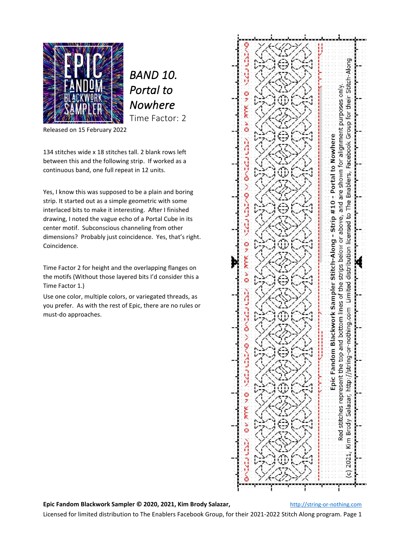

*BAND 10. Portal to Nowhere*  Time Factor: 2

Released on 15 February 2022

134 stitches wide x 18 stitches tall. 2 blank rows left between this and the following strip. If worked as a continuous band, one full repeat in 12 units.

Yes, I know this was supposed to be a plain and boring strip. It started out as a simple geometric with some interlaced bits to make it interesting. After I finished drawing, I noted the vague echo of a Portal Cube in its center motif. Subconscious channeling from other dimensions? Probably just coincidence. Yes, that's right. Coincidence.

Time Factor 2 for height and the overlapping flanges on the motifs (Without those layered bits I'd consider this a Time Factor 1.)

Use one color, multiple colors, or variegated threads, as you prefer. As with the rest of Epic, there are no rules or must-do approaches.



**Epic Fandom Blackwork Sampler © 2020, 2021, Kim Brody Salazar,** [http://string-or-nothing.com](http://string-or-nothing.com/)

Licensed for limited distribution to The Enablers Facebook Group, for their 2021-2022 Stitch Along program. Page 1